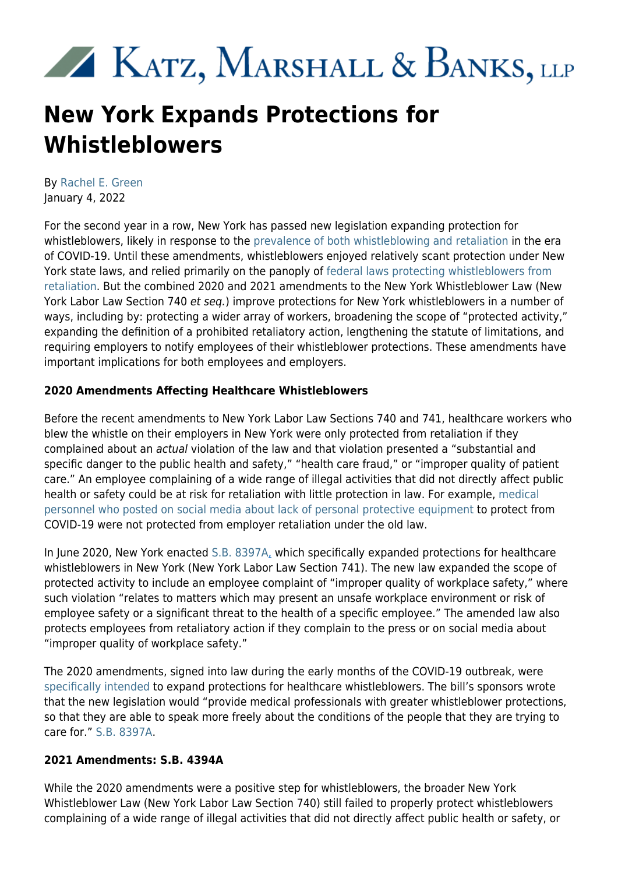# XX KATZ, MARSHALL & BANKS, LLP

# **New York Expands Protections for Whistleblowers**

By [Rachel E. Green](https://www.kmblegal.com/attorneys-and-staff/rachel-green) January 4, 2022

For the second year in a row, New York has passed new legislation expanding protection for whistleblowers, likely in response to the [prevalence of both whistleblowing and retaliation](https://ogletree.com/insights/employers-dont-let-your-guard-down-covid-19-related-employment-lawsuits-are-in-full-swing/) in the era of COVID-19. Until these amendments, whistleblowers enjoyed relatively scant protection under New York state laws, and relied primarily on the panoply of [federal laws protecting whistleblowers from](https://www.kmblegal.com/resources/whistleblower-retaliation) [retaliation](https://www.kmblegal.com/resources/whistleblower-retaliation). But the combined 2020 and 2021 amendments to the New York Whistleblower Law (New York Labor Law Section 740 et seq.) improve protections for New York whistleblowers in a number of ways, including by: protecting a wider array of workers, broadening the scope of "protected activity," expanding the definition of a prohibited retaliatory action, lengthening the statute of limitations, and requiring employers to notify employees of their whistleblower protections. These amendments have important implications for both employees and employers.

# **2020 Amendments Affecting Healthcare Whistleblowers**

Before the recent amendments to New York Labor Law Sections 740 and 741, healthcare workers who blew the whistle on their employers in New York were only protected from retaliation if they complained about an actual violation of the law and that violation presented a "substantial and specific danger to the public health and safety," "health care fraud," or "improper quality of patient care." An employee complaining of a wide range of illegal activities that did not directly affect public health or safety could be at risk for retaliation with little protection in law. For example, [medical](https://www.nytimes.com/2020/04/09/business/coronavirus-health-workers-speak-out.html) [personnel who posted on social media about lack of personal protective equipment](https://www.nytimes.com/2020/04/09/business/coronavirus-health-workers-speak-out.html) to protect from COVID-19 were not protected from employer retaliation under the old law.

In June 2020, New York enacted [S.B. 8397A](https://www.nysenate.gov/legislation/bills/2019/s8397/amendment/A), which specifically expanded protections for healthcare whistleblowers in New York (New York Labor Law Section 741). The new law expanded the scope of protected activity to include an employee complaint of "improper quality of workplace safety," where such violation "relates to matters which may present an unsafe workplace environment or risk of employee safety or a significant threat to the health of a specific employee." The amended law also protects employees from retaliatory action if they complain to the press or on social media about "improper quality of workplace safety."

The 2020 amendments, signed into law during the early months of the COVID-19 outbreak, were [specifically intended](https://www.nysenate.gov/legislation/bills/2019/s8397/amendment/A) to expand protections for healthcare whistleblowers. The bill's sponsors wrote that the new legislation would "provide medical professionals with greater whistleblower protections, so that they are able to speak more freely about the conditions of the people that they are trying to care for." [S.B. 8397A.](https://www.nysenate.gov/legislation/bills/2019/s8397/amendment/A)

# **2021 Amendments: S.B. 4394A**

While the 2020 amendments were a positive step for whistleblowers, the broader New York Whistleblower Law (New York Labor Law Section 740) still failed to properly protect whistleblowers complaining of a wide range of illegal activities that did not directly affect public health or safety, or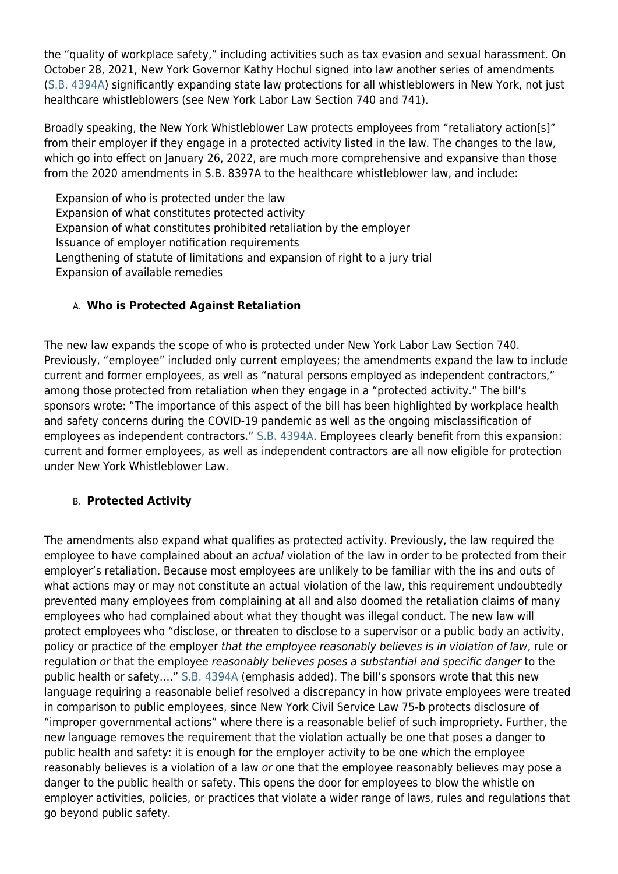the "quality of workplace safety," including activities such as tax evasion and sexual harassment. On October 28, 2021, New York Governor Kathy Hochul signed into law another series of amendments [\(S.B. 4394A\)](https://www.nysenate.gov/legislation/bills/2021/s4394/amendment/a) significantly expanding state law protections for all whistleblowers in New York, not just healthcare whistleblowers (see New York Labor Law Section 740 and 741).

Broadly speaking, the New York Whistleblower Law protects employees from "retaliatory action[s]" from their employer if they engage in a protected activity listed in the law. The changes to the law, which go into effect on January 26, 2022, are much more comprehensive and expansive than those from the 2020 amendments in S.B. 8397A to the healthcare whistleblower law, and include:

Expansion of who is protected under the law Expansion of what constitutes protected activity Expansion of what constitutes prohibited retaliation by the employer Issuance of employer notification requirements Lengthening of statute of limitations and expansion of right to a jury trial Expansion of available remedies

#### A. **Who is Protected Against Retaliation**

The new law expands the scope of who is protected under New York Labor Law Section 740. Previously, "employee" included only current employees; the amendments expand the law to include current and former employees, as well as "natural persons employed as independent contractors," among those protected from retaliation when they engage in a "protected activity." The bill's sponsors wrote: "The importance of this aspect of the bill has been highlighted by workplace health and safety concerns during the COVID-19 pandemic as well as the ongoing misclassification of employees as independent contractors." [S.B. 4394A.](https://www.nysenate.gov/legislation/bills/2021/s4394/amendment/a) Employees clearly benefit from this expansion: current and former employees, as well as independent contractors are all now eligible for protection under New York Whistleblower Law.

#### B. **Protected Activity**

The amendments also expand what qualifies as protected activity. Previously, the law required the employee to have complained about an actual violation of the law in order to be protected from their employer's retaliation. Because most employees are unlikely to be familiar with the ins and outs of what actions may or may not constitute an actual violation of the law, this requirement undoubtedly prevented many employees from complaining at all and also doomed the retaliation claims of many employees who had complained about what they thought was illegal conduct. The new law will protect employees who "disclose, or threaten to disclose to a supervisor or a public body an activity, policy or practice of the employer that the employee reasonably believes is in violation of law, rule or regulation or that the employee reasonably believes poses a substantial and specific danger to the public health or safety…." [S.B. 4394A](https://www.nysenate.gov/legislation/bills/2021/s4394/amendment/a) (emphasis added). The bill's sponsors wrote that this new language requiring a reasonable belief resolved a discrepancy in how private employees were treated in comparison to public employees, since New York Civil Service Law 75-b protects disclosure of "improper governmental actions" where there is a reasonable belief of such impropriety. Further, the new language removes the requirement that the violation actually be one that poses a danger to public health and safety: it is enough for the employer activity to be one which the employee reasonably believes is a violation of a law or one that the employee reasonably believes may pose a danger to the public health or safety. This opens the door for employees to blow the whistle on employer activities, policies, or practices that violate a wider range of laws, rules and regulations that go beyond public safety.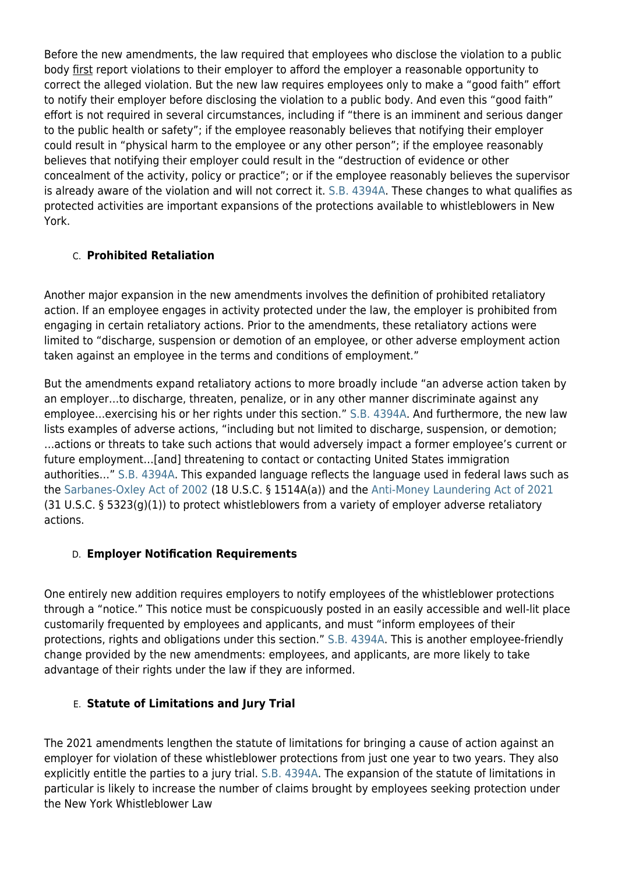Before the new amendments, the law required that employees who disclose the violation to a public body first report violations to their employer to afford the employer a reasonable opportunity to correct the alleged violation. But the new law requires employees only to make a "good faith" effort to notify their employer before disclosing the violation to a public body. And even this "good faith" effort is not required in several circumstances, including if "there is an imminent and serious danger to the public health or safety"; if the employee reasonably believes that notifying their employer could result in "physical harm to the employee or any other person"; if the employee reasonably believes that notifying their employer could result in the "destruction of evidence or other concealment of the activity, policy or practice"; or if the employee reasonably believes the supervisor is already aware of the violation and will not correct it. [S.B. 4394A](https://www.nysenate.gov/legislation/bills/2021/s4394/amendment/a). These changes to what qualifies as protected activities are important expansions of the protections available to whistleblowers in New York.

# C. **Prohibited Retaliation**

Another major expansion in the new amendments involves the definition of prohibited retaliatory action. If an employee engages in activity protected under the law, the employer is prohibited from engaging in certain retaliatory actions. Prior to the amendments, these retaliatory actions were limited to "discharge, suspension or demotion of an employee, or other adverse employment action taken against an employee in the terms and conditions of employment."

But the amendments expand retaliatory actions to more broadly include "an adverse action taken by an employer…to discharge, threaten, penalize, or in any other manner discriminate against any employee…exercising his or her rights under this section." [S.B. 4394A.](https://www.nysenate.gov/legislation/bills/2021/s4394/amendment/a) And furthermore, the new law lists examples of adverse actions, "including but not limited to discharge, suspension, or demotion; …actions or threats to take such actions that would adversely impact a former employee's current or future employment…[and] threatening to contact or contacting United States immigration authorities…" [S.B. 4394A](https://www.nysenate.gov/legislation/bills/2021/s4394/amendment/a). This expanded language reflects the language used in federal laws such as the [Sarbanes-Oxley Act of 2002](https://www.kmblegal.com/resources/sarbanes-oxley) (18 U.S.C. § 1514A(a)) and the [Anti-Money Laundering Act of 2021](https://www.kmblegal.com/whistleblower-blog/strengthened-whistleblower-provisions-anti-money-laundering) (31 U.S.C. § 5323(g)(1)) to protect whistleblowers from a variety of employer adverse retaliatory actions.

# D. **Employer Notification Requirements**

One entirely new addition requires employers to notify employees of the whistleblower protections through a "notice." This notice must be conspicuously posted in an easily accessible and well-lit place customarily frequented by employees and applicants, and must "inform employees of their protections, rights and obligations under this section." [S.B. 4394A](https://www.nysenate.gov/legislation/bills/2021/s4394/amendment/a). This is another employee-friendly change provided by the new amendments: employees, and applicants, are more likely to take advantage of their rights under the law if they are informed.

# E. **Statute of Limitations and Jury Trial**

The 2021 amendments lengthen the statute of limitations for bringing a cause of action against an employer for violation of these whistleblower protections from just one year to two years. They also explicitly entitle the parties to a jury trial. [S.B. 4394A](https://www.nysenate.gov/legislation/bills/2021/s4394/amendment/a). The expansion of the statute of limitations in particular is likely to increase the number of claims brought by employees seeking protection under the New York Whistleblower Law